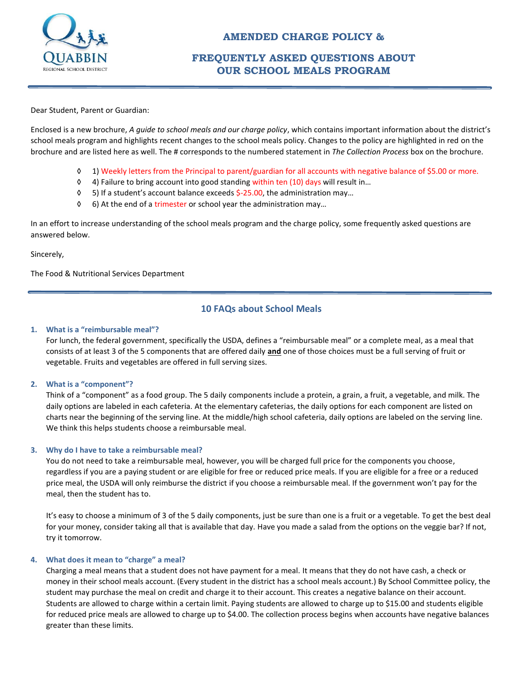

# **FREQUENTLY ASKED QUESTIONS ABOUT OUR SCHOOL MEALS PROGRAM**

Dear Student, Parent or Guardian:

Enclosed is a new brochure, *A guide to school meals and our charge policy*, which contains important information about the district's school meals program and highlights recent changes to the school meals policy. Changes to the policy are highlighted in red on the brochure and are listed here as well. The # corresponds to the numbered statement in *The Collection Process* box on the brochure.

- ◊ 1) Weekly letters from the Principal to parent/guardian for all accounts with negative balance of \$5.00 or more.
- ◊ 4) Failure to bring account into good standing within ten (10) days will result in…
- ◊ 5) If a student's account balance exceeds \$-25.00, the administration may…
- ◊ 6) At the end of a trimester or school year the administration may…

In an effort to increase understanding of the school meals program and the charge policy, some frequently asked questions are answered below.

Sincerely,

The Food & Nutritional Services Department

# **10 FAQs about School Meals**

#### **1. What is a "reimbursable meal"?**

For lunch, the federal government, specifically the USDA, defines a "reimbursable meal" or a complete meal, as a meal that consists of at least 3 of the 5 components that are offered daily **and** one of those choices must be a full serving of fruit or vegetable. Fruits and vegetables are offered in full serving sizes.

# **2. What is a "component"?**

Think of a "component" as a food group. The 5 daily components include a protein, a grain, a fruit, a vegetable, and milk. The daily options are labeled in each cafeteria. At the elementary cafeterias, the daily options for each component are listed on charts near the beginning of the serving line. At the middle/high school cafeteria, daily options are labeled on the serving line. We think this helps students choose a reimbursable meal.

# **3. Why do I have to take a reimbursable meal?**

You do not need to take a reimbursable meal, however, you will be charged full price for the components you choose, regardless if you are a paying student or are eligible for free or reduced price meals. If you are eligible for a free or a reduced price meal, the USDA will only reimburse the district if you choose a reimbursable meal. If the government won't pay for the meal, then the student has to.

It's easy to choose a minimum of 3 of the 5 daily components, just be sure than one is a fruit or a vegetable. To get the best deal for your money, consider taking all that is available that day. Have you made a salad from the options on the veggie bar? If not, try it tomorrow.

# **4. What does it mean to "charge" a meal?**

Charging a meal means that a student does not have payment for a meal. It means that they do not have cash, a check or money in their school meals account. (Every student in the district has a school meals account.) By School Committee policy, the student may purchase the meal on credit and charge it to their account. This creates a negative balance on their account. Students are allowed to charge within a certain limit. Paying students are allowed to charge up to \$15.00 and students eligible for reduced price meals are allowed to charge up to \$4.00. The collection process begins when accounts have negative balances greater than these limits.